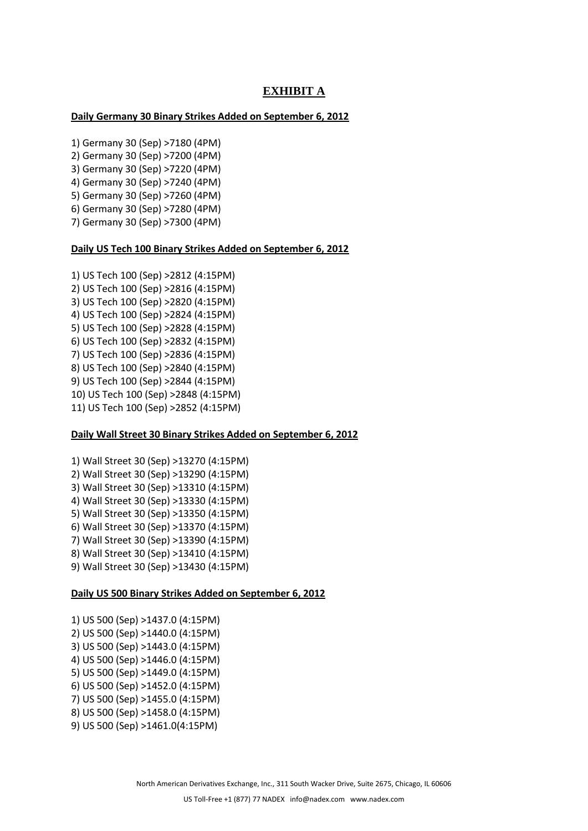# **EXHIBIT A**

## **Daily Germany 30 Binary Strikes Added on September 6, 2012**

- 1) Germany 30 (Sep) >7180 (4PM)
- 2) Germany 30 (Sep) >7200 (4PM)
- 3) Germany 30 (Sep) >7220 (4PM)
- 4) Germany 30 (Sep) >7240 (4PM)
- 5) Germany 30 (Sep) >7260 (4PM) 6) Germany 30 (Sep) >7280 (4PM)
- 7) Germany 30 (Sep) >7300 (4PM)

### **Daily US Tech 100 Binary Strikes Added on September 6, 2012**

1) US Tech 100 (Sep) >2812 (4:15PM) 2) US Tech 100 (Sep) >2816 (4:15PM) 3) US Tech 100 (Sep) >2820 (4:15PM) 4) US Tech 100 (Sep) >2824 (4:15PM) 5) US Tech 100 (Sep) >2828 (4:15PM) 6) US Tech 100 (Sep) >2832 (4:15PM) 7) US Tech 100 (Sep) >2836 (4:15PM) 8) US Tech 100 (Sep) >2840 (4:15PM) 9) US Tech 100 (Sep) >2844 (4:15PM) 10) US Tech 100 (Sep) >2848 (4:15PM) 11) US Tech 100 (Sep) >2852 (4:15PM)

#### **Daily Wall Street 30 Binary Strikes Added on September 6, 2012**

1) Wall Street 30 (Sep) >13270 (4:15PM) 2) Wall Street 30 (Sep) >13290 (4:15PM) 3) Wall Street 30 (Sep) >13310 (4:15PM) 4) Wall Street 30 (Sep) >13330 (4:15PM) 5) Wall Street 30 (Sep) >13350 (4:15PM) 6) Wall Street 30 (Sep) >13370 (4:15PM) 7) Wall Street 30 (Sep) >13390 (4:15PM) 8) Wall Street 30 (Sep) >13410 (4:15PM) 9) Wall Street 30 (Sep) >13430 (4:15PM)

### **Daily US 500 Binary Strikes Added on September 6, 2012**

- 1) US 500 (Sep) >1437.0 (4:15PM) 2) US 500 (Sep) >1440.0 (4:15PM) 3) US 500 (Sep) >1443.0 (4:15PM) 4) US 500 (Sep) >1446.0 (4:15PM) 5) US 500 (Sep) >1449.0 (4:15PM) 6) US 500 (Sep) >1452.0 (4:15PM) 7) US 500 (Sep) >1455.0 (4:15PM) 8) US 500 (Sep) >1458.0 (4:15PM)
- 9) US 500 (Sep) >1461.0(4:15PM)